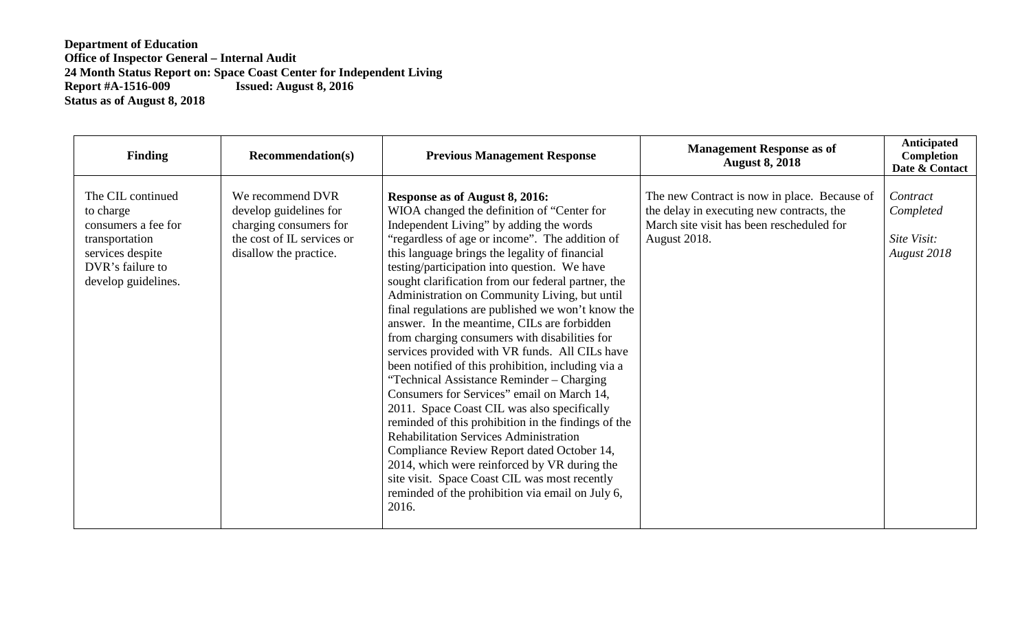| <b>Finding</b>                                                                                                                         | <b>Recommendation(s)</b>                                                                                                     | <b>Previous Management Response</b>                                                                                                                                                                                                                                                                                                                                                                                                                                                                                                                                                                                                                                                                                                                                                                                                                                                                                                                                                                                                                                                                           | <b>Management Response as of</b><br><b>August 8, 2018</b>                                                                                              | <b>Anticipated</b><br>Completion<br>Date & Contact  |
|----------------------------------------------------------------------------------------------------------------------------------------|------------------------------------------------------------------------------------------------------------------------------|---------------------------------------------------------------------------------------------------------------------------------------------------------------------------------------------------------------------------------------------------------------------------------------------------------------------------------------------------------------------------------------------------------------------------------------------------------------------------------------------------------------------------------------------------------------------------------------------------------------------------------------------------------------------------------------------------------------------------------------------------------------------------------------------------------------------------------------------------------------------------------------------------------------------------------------------------------------------------------------------------------------------------------------------------------------------------------------------------------------|--------------------------------------------------------------------------------------------------------------------------------------------------------|-----------------------------------------------------|
| The CIL continued<br>to charge<br>consumers a fee for<br>transportation<br>services despite<br>DVR's failure to<br>develop guidelines. | We recommend DVR<br>develop guidelines for<br>charging consumers for<br>the cost of IL services or<br>disallow the practice. | Response as of August 8, 2016:<br>WIOA changed the definition of "Center for<br>Independent Living" by adding the words<br>"regardless of age or income". The addition of<br>this language brings the legality of financial<br>testing/participation into question. We have<br>sought clarification from our federal partner, the<br>Administration on Community Living, but until<br>final regulations are published we won't know the<br>answer. In the meantime, CILs are forbidden<br>from charging consumers with disabilities for<br>services provided with VR funds. All CILs have<br>been notified of this prohibition, including via a<br>"Technical Assistance Reminder – Charging<br>Consumers for Services" email on March 14,<br>2011. Space Coast CIL was also specifically<br>reminded of this prohibition in the findings of the<br><b>Rehabilitation Services Administration</b><br>Compliance Review Report dated October 14,<br>2014, which were reinforced by VR during the<br>site visit. Space Coast CIL was most recently<br>reminded of the prohibition via email on July 6,<br>2016. | The new Contract is now in place. Because of<br>the delay in executing new contracts, the<br>March site visit has been rescheduled for<br>August 2018. | Contract<br>Completed<br>Site Visit:<br>August 2018 |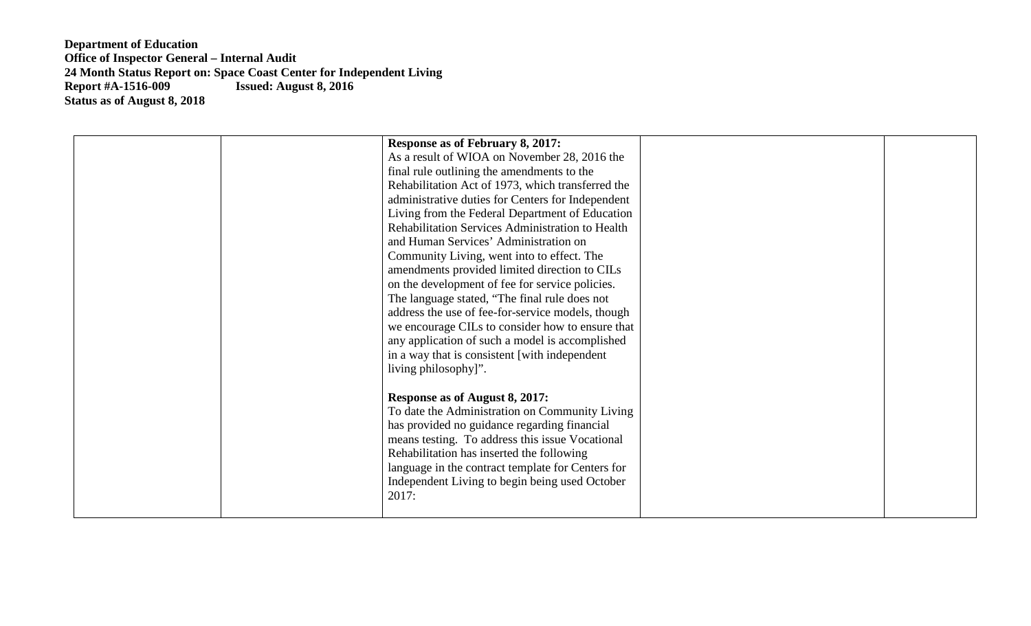| <b>Response as of February 8, 2017:</b><br>As a result of WIOA on November 28, 2016 the<br>final rule outlining the amendments to the<br>Rehabilitation Act of 1973, which transferred the<br>administrative duties for Centers for Independent<br>Living from the Federal Department of Education<br>Rehabilitation Services Administration to Health<br>and Human Services' Administration on<br>Community Living, went into to effect. The<br>amendments provided limited direction to CILs<br>on the development of fee for service policies.<br>The language stated, "The final rule does not<br>address the use of fee-for-service models, though |  |
|---------------------------------------------------------------------------------------------------------------------------------------------------------------------------------------------------------------------------------------------------------------------------------------------------------------------------------------------------------------------------------------------------------------------------------------------------------------------------------------------------------------------------------------------------------------------------------------------------------------------------------------------------------|--|
| we encourage CILs to consider how to ensure that<br>any application of such a model is accomplished<br>in a way that is consistent [with independent]<br>living philosophy]".<br>Response as of August 8, 2017:<br>To date the Administration on Community Living<br>has provided no guidance regarding financial<br>means testing. To address this issue Vocational<br>Rehabilitation has inserted the following<br>language in the contract template for Centers for<br>Independent Living to begin being used October<br>2017:                                                                                                                       |  |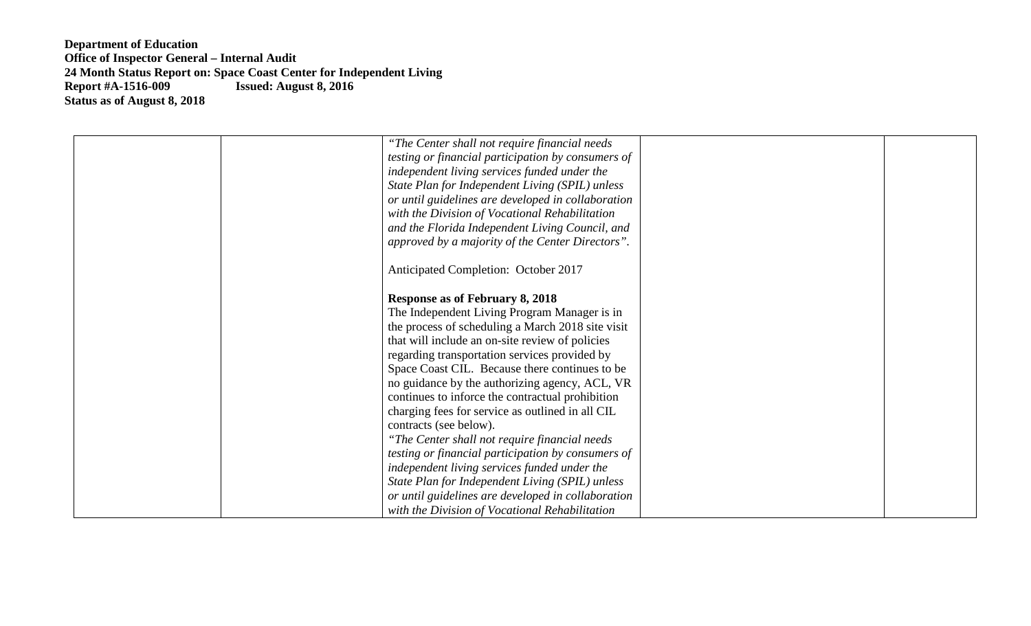| "The Center shall not require financial needs"<br>testing or financial participation by consumers of<br>independent living services funded under the<br>State Plan for Independent Living (SPIL) unless<br>or until guidelines are developed in collaboration<br>with the Division of Vocational Rehabilitation<br>and the Florida Independent Living Council, and |  |
|--------------------------------------------------------------------------------------------------------------------------------------------------------------------------------------------------------------------------------------------------------------------------------------------------------------------------------------------------------------------|--|
| approved by a majority of the Center Directors".                                                                                                                                                                                                                                                                                                                   |  |
| Anticipated Completion: October 2017                                                                                                                                                                                                                                                                                                                               |  |
| <b>Response as of February 8, 2018</b><br>The Independent Living Program Manager is in<br>the process of scheduling a March 2018 site visit                                                                                                                                                                                                                        |  |
| that will include an on-site review of policies<br>regarding transportation services provided by                                                                                                                                                                                                                                                                   |  |
| Space Coast CIL. Because there continues to be<br>no guidance by the authorizing agency, ACL, VR                                                                                                                                                                                                                                                                   |  |
| continues to inforce the contractual prohibition<br>charging fees for service as outlined in all CIL<br>contracts (see below).                                                                                                                                                                                                                                     |  |
| "The Center shall not require financial needs"<br>testing or financial participation by consumers of                                                                                                                                                                                                                                                               |  |
| independent living services funded under the<br>State Plan for Independent Living (SPIL) unless                                                                                                                                                                                                                                                                    |  |
| or until guidelines are developed in collaboration<br>with the Division of Vocational Rehabilitation                                                                                                                                                                                                                                                               |  |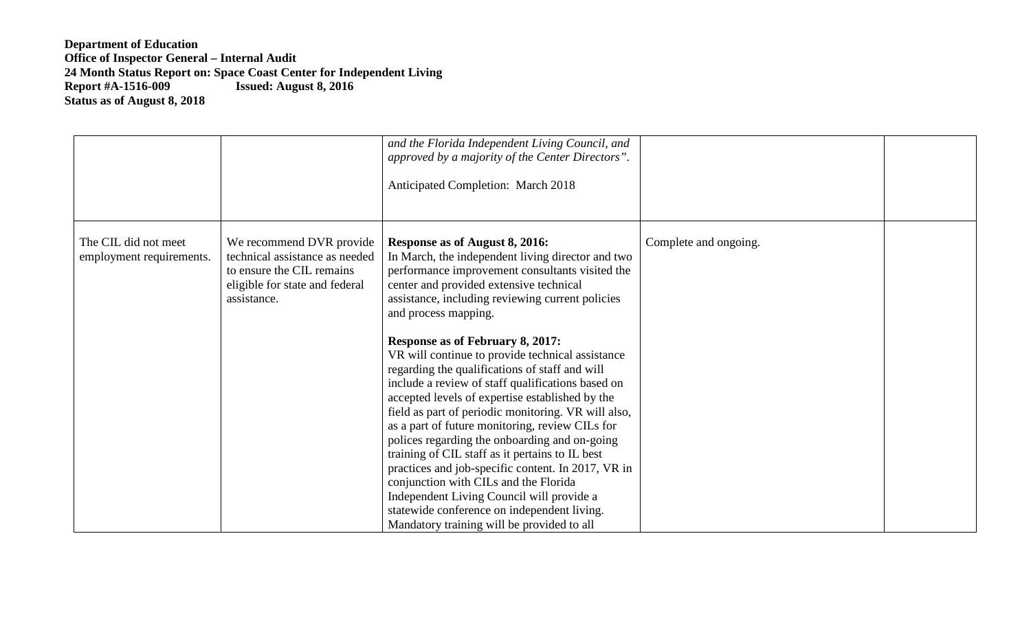|                                                  |                                                                                                                                          | and the Florida Independent Living Council, and<br>approved by a majority of the Center Directors".<br><b>Anticipated Completion: March 2018</b>                                                                                                                                                                                                                                                                                                                                                                                                                                                                                                                                                                                                                                                                                                                                                                                                                              |                       |  |
|--------------------------------------------------|------------------------------------------------------------------------------------------------------------------------------------------|-------------------------------------------------------------------------------------------------------------------------------------------------------------------------------------------------------------------------------------------------------------------------------------------------------------------------------------------------------------------------------------------------------------------------------------------------------------------------------------------------------------------------------------------------------------------------------------------------------------------------------------------------------------------------------------------------------------------------------------------------------------------------------------------------------------------------------------------------------------------------------------------------------------------------------------------------------------------------------|-----------------------|--|
| The CIL did not meet<br>employment requirements. | We recommend DVR provide<br>technical assistance as needed<br>to ensure the CIL remains<br>eligible for state and federal<br>assistance. | Response as of August 8, 2016:<br>In March, the independent living director and two<br>performance improvement consultants visited the<br>center and provided extensive technical<br>assistance, including reviewing current policies<br>and process mapping.<br><b>Response as of February 8, 2017:</b><br>VR will continue to provide technical assistance<br>regarding the qualifications of staff and will<br>include a review of staff qualifications based on<br>accepted levels of expertise established by the<br>field as part of periodic monitoring. VR will also,<br>as a part of future monitoring, review CILs for<br>polices regarding the onboarding and on-going<br>training of CIL staff as it pertains to IL best<br>practices and job-specific content. In 2017, VR in<br>conjunction with CILs and the Florida<br>Independent Living Council will provide a<br>statewide conference on independent living.<br>Mandatory training will be provided to all | Complete and ongoing. |  |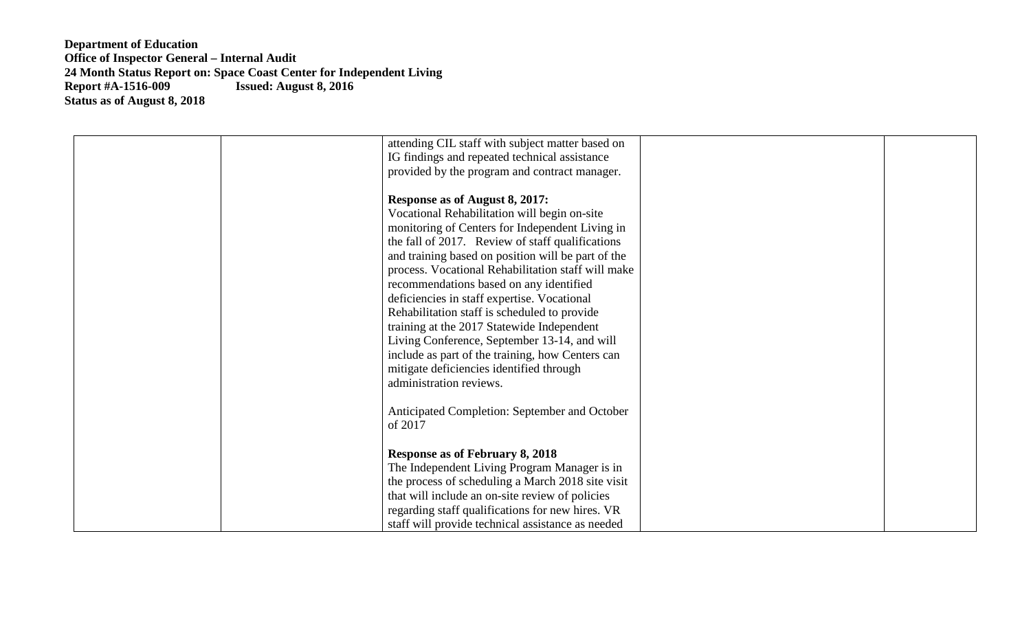| attending CIL staff with subject matter based on   |
|----------------------------------------------------|
| IG findings and repeated technical assistance      |
| provided by the program and contract manager.      |
|                                                    |
| Response as of August 8, 2017:                     |
| Vocational Rehabilitation will begin on-site       |
| monitoring of Centers for Independent Living in    |
| the fall of 2017. Review of staff qualifications   |
| and training based on position will be part of the |
| process. Vocational Rehabilitation staff will make |
| recommendations based on any identified            |
| deficiencies in staff expertise. Vocational        |
| Rehabilitation staff is scheduled to provide       |
| training at the 2017 Statewide Independent         |
| Living Conference, September 13-14, and will       |
| include as part of the training, how Centers can   |
| mitigate deficiencies identified through           |
| administration reviews.                            |
|                                                    |
| Anticipated Completion: September and October      |
| of 2017                                            |
|                                                    |
| <b>Response as of February 8, 2018</b>             |
| The Independent Living Program Manager is in       |
| the process of scheduling a March 2018 site visit  |
| that will include an on-site review of policies    |
| regarding staff qualifications for new hires. VR   |
| staff will provide technical assistance as needed  |
|                                                    |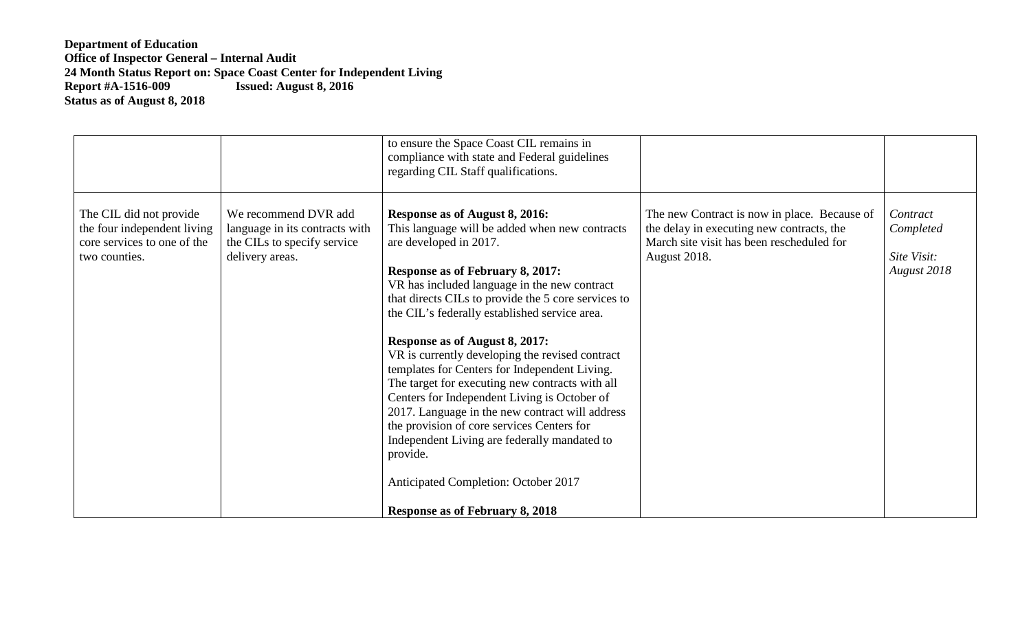|                                                                                                        |                                                                                                          | to ensure the Space Coast CIL remains in<br>compliance with state and Federal guidelines<br>regarding CIL Staff qualifications.                                                                                                                                                                                                                                                                                                                                                                                                                                                                                                                                                                                                                                                                |                                                                                                                                                        |                                                     |
|--------------------------------------------------------------------------------------------------------|----------------------------------------------------------------------------------------------------------|------------------------------------------------------------------------------------------------------------------------------------------------------------------------------------------------------------------------------------------------------------------------------------------------------------------------------------------------------------------------------------------------------------------------------------------------------------------------------------------------------------------------------------------------------------------------------------------------------------------------------------------------------------------------------------------------------------------------------------------------------------------------------------------------|--------------------------------------------------------------------------------------------------------------------------------------------------------|-----------------------------------------------------|
| The CIL did not provide<br>the four independent living<br>core services to one of the<br>two counties. | We recommend DVR add<br>language in its contracts with<br>the CILs to specify service<br>delivery areas. | Response as of August 8, 2016:<br>This language will be added when new contracts<br>are developed in 2017.<br>Response as of February 8, 2017:<br>VR has included language in the new contract<br>that directs CILs to provide the 5 core services to<br>the CIL's federally established service area.<br>Response as of August 8, 2017:<br>VR is currently developing the revised contract<br>templates for Centers for Independent Living.<br>The target for executing new contracts with all<br>Centers for Independent Living is October of<br>2017. Language in the new contract will address<br>the provision of core services Centers for<br>Independent Living are federally mandated to<br>provide.<br>Anticipated Completion: October 2017<br><b>Response as of February 8, 2018</b> | The new Contract is now in place. Because of<br>the delay in executing new contracts, the<br>March site visit has been rescheduled for<br>August 2018. | Contract<br>Completed<br>Site Visit:<br>August 2018 |